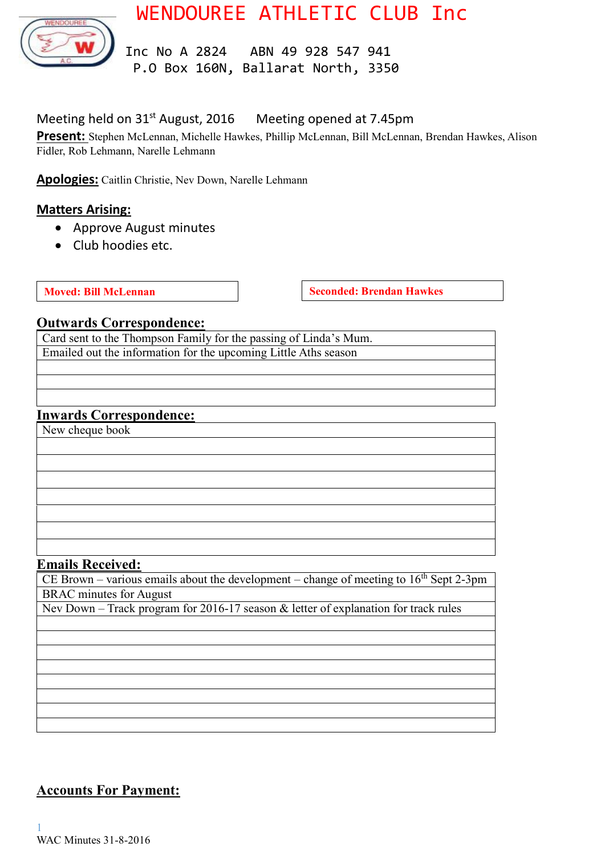

# WENDOUREE ATHLETIC CLUB Inc

 Inc No A 2824 ABN 49 928 547 941 P.O Box 160N, Ballarat North, 3350

### Meeting held on 31<sup>st</sup> August, 2016 Meeting opened at 7.45pm

**Present:** Stephen McLennan, Michelle Hawkes, Phillip McLennan, Bill McLennan, Brendan Hawkes, Alison Fidler, Rob Lehmann, Narelle Lehmann

**Apologies:** Caitlin Christie, Nev Down, Narelle Lehmann

#### **Matters Arising:**

- Approve August minutes
- Club hoodies etc.

**Moved:** Bill McLennan **Seconded:** Brendan Hawkes

#### **Outwards Correspondence:**

Card sent to the Thompson Family for the passing of Linda's Mum. Emailed out the information for the upcoming Little Aths season

#### **Inwards Correspondence:**

New cheque book

#### **Emails Received:**

CE Brown – various emails about the development – change of meeting to  $16<sup>th</sup>$  Sept 2-3pm BRAC minutes for August

Nev Down – Track program for 2016-17 season & letter of explanation for track rules

### **Accounts For Payment:**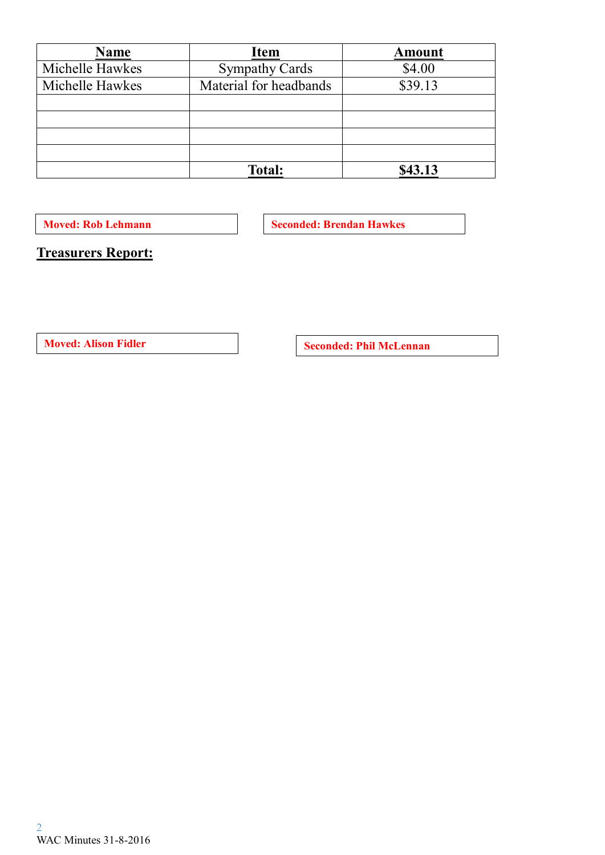| Name            | <b>Item</b>            | <b>Amount</b> |
|-----------------|------------------------|---------------|
| Michelle Hawkes | <b>Sympathy Cards</b>  | \$4.00        |
| Michelle Hawkes | Material for headbands | \$39.13       |
|                 |                        |               |
|                 |                        |               |
|                 |                        |               |
|                 |                        |               |
|                 | <b>Total:</b>          | \$43.13       |

**Moved: Rob Lehmann Seconded: Brendan Hawkes** 

**Treasurers Report:**

**Moved:** Alison Fidler **Seconded: Phil McLennan**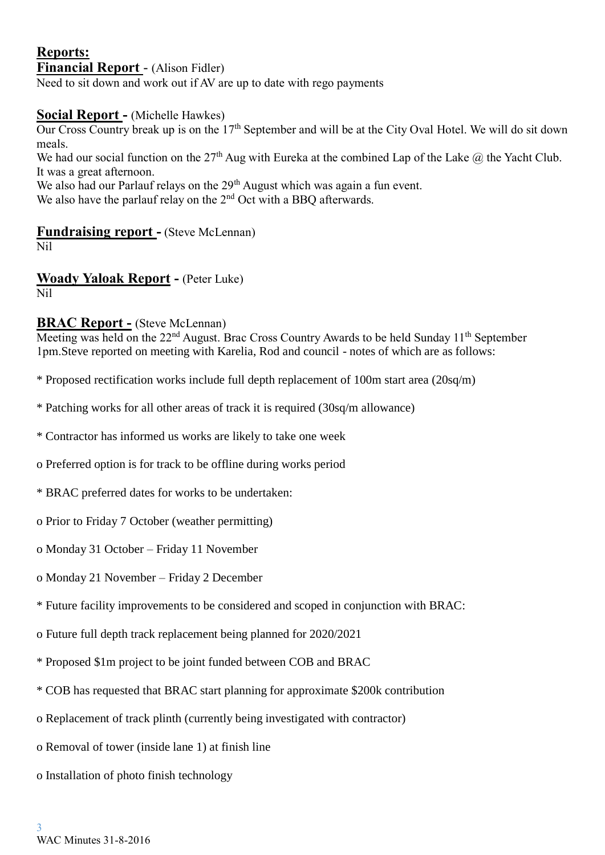#### **Reports: Financial Report** - (Alison Fidler)

Need to sit down and work out if AV are up to date with rego payments

#### **Social Report -** (Michelle Hawkes)

Our Cross Country break up is on the 17<sup>th</sup> September and will be at the City Oval Hotel. We will do sit down meals.

We had our social function on the 27<sup>th</sup> Aug with Eureka at the combined Lap of the Lake  $\omega$  the Yacht Club. It was a great afternoon.

We also had our Parlauf relays on the  $29<sup>th</sup>$  August which was again a fun event.

We also have the parlauf relay on the 2<sup>nd</sup> Oct with a BBQ afterwards.

#### **Fundraising report -** (Steve McLennan)

Nil

**Woady Yaloak Report -** (Peter Luke) Nil

#### **BRAC Report -** (Steve McLennan)

Meeting was held on the 22<sup>nd</sup> August. Brac Cross Country Awards to be held Sunday 11<sup>th</sup> September 1pm.Steve reported on meeting with Karelia, Rod and council - notes of which are as follows:

- \* Proposed rectification works include full depth replacement of 100m start area (20sq/m)
- \* Patching works for all other areas of track it is required (30sq/m allowance)
- \* Contractor has informed us works are likely to take one week
- o Preferred option is for track to be offline during works period
- \* BRAC preferred dates for works to be undertaken:
- o Prior to Friday 7 October (weather permitting)
- o Monday 31 October Friday 11 November
- o Monday 21 November Friday 2 December
- \* Future facility improvements to be considered and scoped in conjunction with BRAC:
- o Future full depth track replacement being planned for 2020/2021
- \* Proposed \$1m project to be joint funded between COB and BRAC
- \* COB has requested that BRAC start planning for approximate \$200k contribution
- o Replacement of track plinth (currently being investigated with contractor)
- o Removal of tower (inside lane 1) at finish line
- o Installation of photo finish technology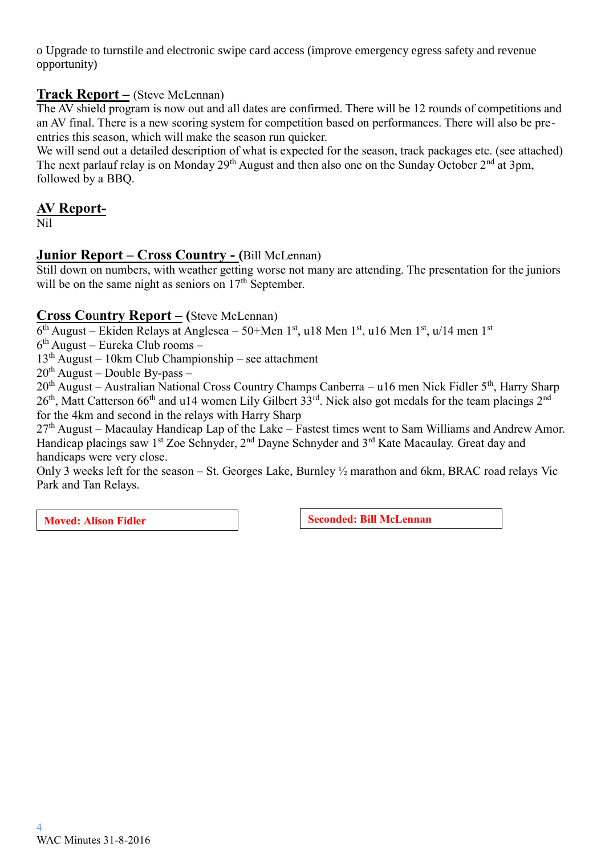o Upgrade to turnstile and electronic swipe card access (improve emergency egress safety and revenue opportunity)

#### **Track Report –** (Steve McLennan)

The AV shield program is now out and all dates are confirmed. There will be 12 rounds of competitions and an AV final. There is a new scoring system for competition based on performances. There will also be preentries this season, which will make the season run quicker.

We will send out a detailed description of what is expected for the season, track packages etc. (see attached) The next parlauf relay is on Monday  $29<sup>th</sup>$  August and then also one on the Sunday October  $2<sup>nd</sup>$  at 3pm, followed by a BBQ.

## **AV Report-**

Nil

#### **Junior Report – Cross Country - (**Bill McLennan)

Still down on numbers, with weather getting worse not many are attending. The presentation for the juniors will be on the same night as seniors on  $17<sup>th</sup>$  September.

#### **Cross Co**u**ntry Report – (**Steve McLennan)

6<sup>th</sup> August – Ekiden Relays at Anglesea – 50+Men 1<sup>st</sup>, u18 Men 1<sup>st</sup>, u16 Men 1<sup>st</sup>, u/14 men 1<sup>st</sup>

6 th August – Eureka Club rooms –

 $13<sup>th</sup>$  August – 10km Club Championship – see attachment

 $20^{th}$  August – Double By-pass –

20<sup>th</sup> August – Australian National Cross Country Champs Canberra – u16 men Nick Fidler 5<sup>th</sup>, Harry Sharp 26<sup>th</sup>, Matt Catterson 66<sup>th</sup> and u14 women Lily Gilbert 33<sup>rd</sup>. Nick also got medals for the team placings 2<sup>nd</sup> for the 4km and second in the relays with Harry Sharp

 $27<sup>th</sup>$  August – Macaulay Handicap Lap of the Lake – Fastest times went to Sam Williams and Andrew Amor. Handicap placings saw  $1^{st}$  Zoe Schnyder,  $2^{nd}$  Dayne Schnyder and  $3^{rd}$  Kate Macaulay. Great day and handicaps were very close.

Only 3 weeks left for the season – St. Georges Lake, Burnley ½ marathon and 6km, BRAC road relays Vic Park and Tan Relays.

**Moved:** Alison Fidler **Seconded:** Bill McLennan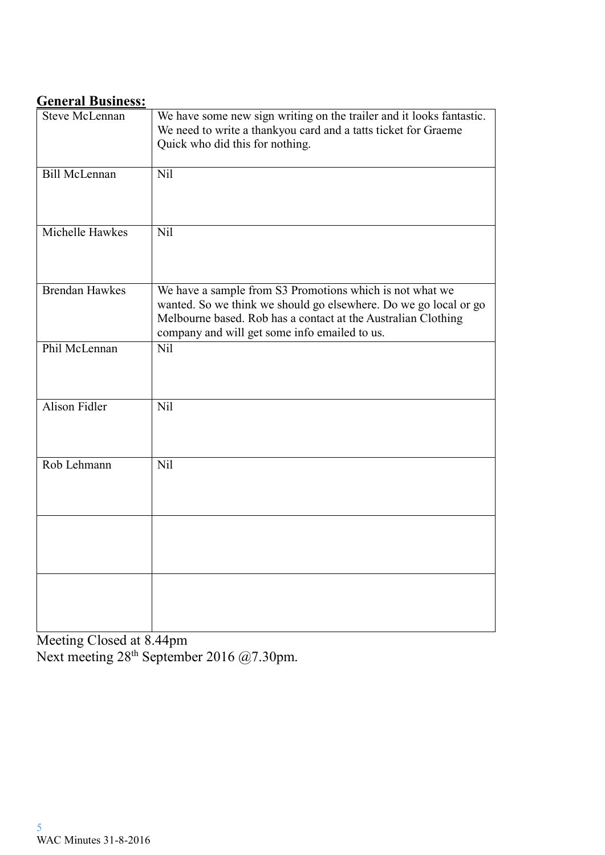# **General Business:**

| <b>Steve McLennan</b> | We have some new sign writing on the trailer and it looks fantastic.<br>We need to write a thankyou card and a tatts ticket for Graeme<br>Quick who did this for nothing.                                                                      |
|-----------------------|------------------------------------------------------------------------------------------------------------------------------------------------------------------------------------------------------------------------------------------------|
| <b>Bill McLennan</b>  | Nil                                                                                                                                                                                                                                            |
| Michelle Hawkes       | Nil                                                                                                                                                                                                                                            |
| <b>Brendan Hawkes</b> | We have a sample from S3 Promotions which is not what we<br>wanted. So we think we should go elsewhere. Do we go local or go<br>Melbourne based. Rob has a contact at the Australian Clothing<br>company and will get some info emailed to us. |
| Phil McLennan         | Nil                                                                                                                                                                                                                                            |
| <b>Alison Fidler</b>  | Nil                                                                                                                                                                                                                                            |
| Rob Lehmann           | Nil                                                                                                                                                                                                                                            |
|                       |                                                                                                                                                                                                                                                |
|                       |                                                                                                                                                                                                                                                |

Meeting Closed at 8.44pm Next meeting  $28^{th}$  September 2016 @7.30pm.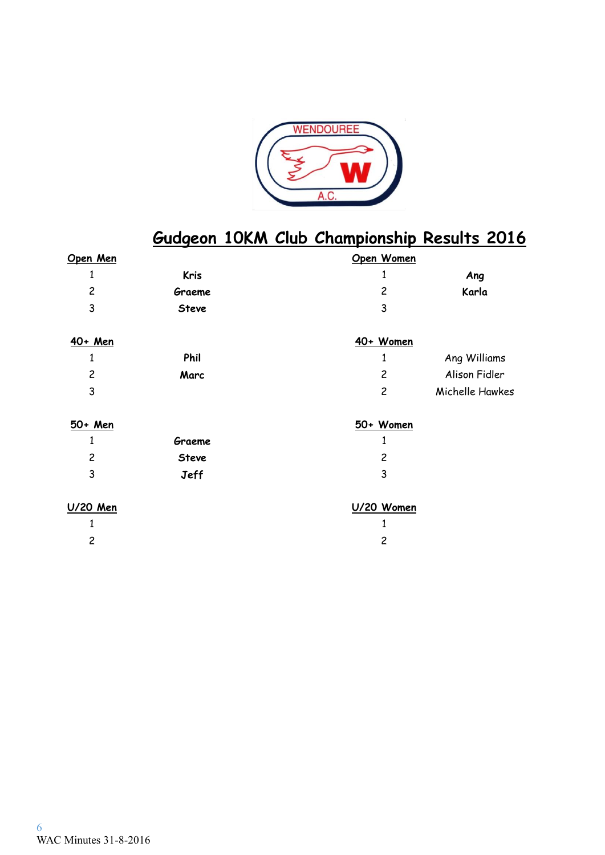

# **Gudgeon 10KM Club Championship Results 2016**

| Open Men       |              | Open Women     |                 |
|----------------|--------------|----------------|-----------------|
| 1              | <b>Kris</b>  | 1              | Ang             |
| $\overline{c}$ | Graeme       | $\overline{c}$ | Karla           |
| 3              | <b>Steve</b> | 3              |                 |
| 40+ Men        |              | 40+ Women      |                 |
| 1              | Phil         |                | Ang Williams    |
| $\overline{c}$ | Marc         | $\overline{c}$ | Alison Fidler   |
| 3              |              | $\overline{c}$ | Michelle Hawkes |
| 50+ Men        |              | 50+ Women      |                 |
| 1              | Graeme       | 1              |                 |
| $\overline{c}$ | <b>Steve</b> | $\overline{c}$ |                 |
| 3              | <b>Jeff</b>  | 3              |                 |
| U/20 Men       |              | U/20 Women     |                 |
|                |              |                |                 |
| $\overline{c}$ |              | $\overline{c}$ |                 |